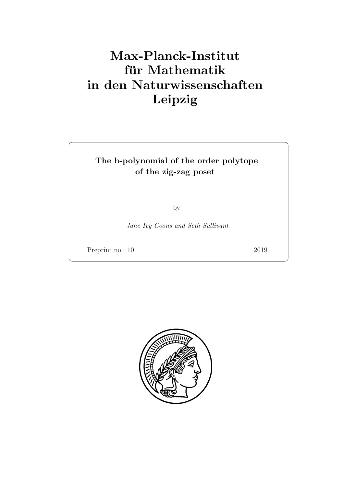# Max-Planck-Institut für Mathematik in den Naturwissenschaften Leipzig

## The h-polynomial of the order polytope of the zig-zag poset

by

Jane Ivy Coons and Seth Sullivant

Preprint no.: 10 2019

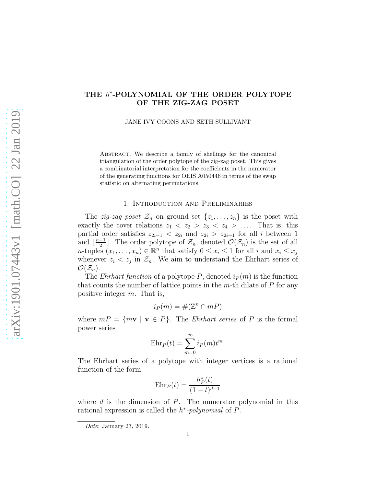### THE  $h^*$ -POLYNOMIAL OF THE ORDER POLYTOPE OF THE ZIG-ZAG POSET

JANE IVY COONS AND SETH SULLIVANT

Abstract. We describe a family of shellings for the canonical triangulation of the order polytope of the zig-zag poset. This gives a combinatorial interpretation for the coefficients in the numerator of the generating functions for OEIS A050446 in terms of the swap statistic on alternating permutations.

### 1. Introduction and Preliminaries

The *zig-zag poset*  $\mathcal{Z}_n$  on ground set  $\{z_1, \ldots, z_n\}$  is the poset with exactly the cover relations  $z_1 < z_2 > z_3 < z_4 > \ldots$  That is, this partial order satisfies  $z_{2i-1}$  <  $z_{2i}$  and  $z_{2i}$  >  $z_{2i+1}$  for all i between 1 and  $\lfloor \frac{n-1}{2} \rfloor$  $\frac{-1}{2}$ . The order polytope of  $\mathcal{Z}_n$ , denoted  $\mathcal{O}(\mathcal{Z}_n)$  is the set of all *n*-tuples  $(x_1, \ldots, x_n) \in \mathbb{R}^n$  that satisfy  $0 \le x_i \le 1$  for all i and  $x_i \le x_j$ whenever  $z_i < z_j$  in  $\mathcal{Z}_n$ . We aim to understand the Ehrhart series of  $\mathcal{O}(\mathcal{Z}_n)$ .

The *Ehrhart function* of a polytope P, denoted  $i_P(m)$  is the function that counts the number of lattice points in the  $m$ -th dilate of  $P$  for any positive integer m. That is,

$$
i_P(m) = \#(\mathbb{Z}^n \cap mP)
$$

where  $mP = \{mv \mid v \in P\}$ . The *Ehrhart series* of P is the formal power series

$$
Ehr_P(t) = \sum_{m=0}^{\infty} i_P(m)t^m.
$$

The Ehrhart series of a polytope with integer vertices is a rational function of the form

$$
Ehr_P(t) = \frac{h_P^*(t)}{(1-t)^{d+1}}
$$

where  $d$  is the dimension of  $P$ . The numerator polynomial in this rational expression is called the  $h^*$ -polynomial of  $P$ .

*Date*: January 23, 2019.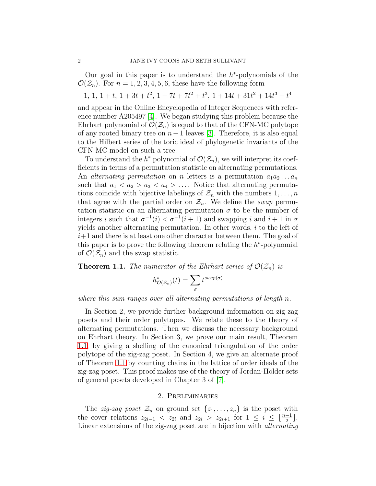Our goal in this paper is to understand the  $h^*$ -polynomials of the  $\mathcal{O}(\mathcal{Z}_n)$ . For  $n = 1, 2, 3, 4, 5, 6$ , these have the following form

 $1, 1, 1+t, 1+3t+t^2, 1+7t+7t^2+t^3, 1+14t+31t^2+14t^3+t^4$ 

and appear in the Online Encyclopedia of Integer Sequences with reference number A205497 [\[4\]](#page-17-0). We began studying this problem because the Ehrhart polynomial of  $\mathcal{O}(\mathcal{Z}_n)$  is equal to that of the CFN-MC polytope of any rooted binary tree on  $n+1$  leaves [\[3\]](#page-17-1). Therefore, it is also equal to the Hilbert series of the toric ideal of phylogenetic invariants of the CFN-MC model on such a tree.

To understand the  $h^*$  polynomial of  $\mathcal{O}(\mathcal{Z}_n)$ , we will interpret its coefficients in terms of a permutation statistic on alternating permutations. An *alternating permutation* on *n* letters is a permutation  $a_1 a_2 \ldots a_n$ such that  $a_1 < a_2 > a_3 < a_4 > \ldots$ . Notice that alternating permutations coincide with bijective labelings of  $\mathcal{Z}_n$  with the numbers  $1, \ldots, n$ that agree with the partial order on  $\mathcal{Z}_n$ . We define the *swap* permutation statistic on an alternating permutation  $\sigma$  to be the number of integers i such that  $\sigma^{-1}(i) < \sigma^{-1}(i+1)$  and swapping i and  $i+1$  in  $\sigma$ yields another alternating permutation. In other words,  $i$  to the left of  $i+1$  and there is at least one other character between them. The goal of this paper is to prove the following theorem relating the  $h^*$ -polynomial of  $\mathcal{O}(\mathcal{Z}_n)$  and the swap statistic.

<span id="page-3-0"></span>**Theorem 1.1.** The numerator of the Ehrhart series of  $\mathcal{O}(\mathcal{Z}_n)$  is

$$
h^*_{\mathcal{O}(\mathcal{Z}_n)}(t) = \sum_{\sigma} t^{swap(\sigma)}
$$

where this sum ranges over all alternating permutations of length n.

In Section 2, we provide further background information on zig-zag posets and their order polytopes. We relate these to the theory of alternating permutations. Then we discuss the necessary background on Ehrhart theory. In Section 3, we prove our main result, Theorem [1.1,](#page-3-0) by giving a shelling of the canonical triangulation of the order polytope of the zig-zag poset. In Section 4, we give an alternate proof of Theorem [1.1](#page-3-0) by counting chains in the lattice of order ideals of the zig-zag poset. This proof makes use of the theory of Jordan-Hölder sets of general posets developed in Chapter 3 of [\[7\]](#page-17-2).

### 2. Preliminaries

The *zig-zag poset*  $\mathcal{Z}_n$  on ground set  $\{z_1, \ldots, z_n\}$  is the poset with the cover relations  $z_{2i-1}$  <  $z_{2i}$  and  $z_{2i} > z_{2i+1}$  for  $1 \leq i \leq \lfloor \frac{n-1}{2} \rfloor$ . Linear extensions of the zig-zag poset are in bijection with alternating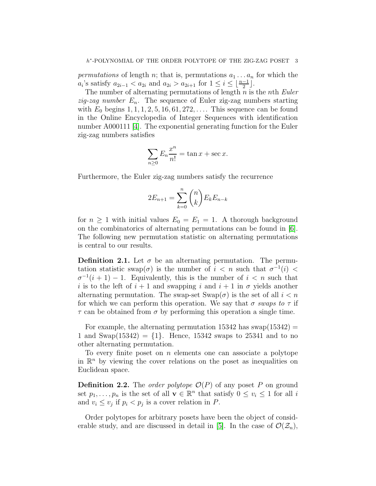permutations of length n; that is, permutations  $a_1 \ldots a_n$  for which the  $a_i$ 's satisfy  $a_{2i-1} < a_{2i}$  and  $a_{2i} > a_{2i+1}$  for  $1 \leq i \leq \lfloor \frac{n-1}{2} \rfloor$ .

The number of alternating permutations of length  $n$  is the nth Euler *zig-zag number*  $E_n$ . The sequence of Euler zig-zag numbers starting with  $E_0$  begins  $1, 1, 1, 2, 5, 16, 61, 272, \ldots$  This sequence can be found in the Online Encyclopedia of Integer Sequences with identification number A000111 [\[4\]](#page-17-0). The exponential generating function for the Euler zig-zag numbers satisfies

$$
\sum_{n\geq 0} E_n \frac{x^n}{n!} = \tan x + \sec x.
$$

Furthermore, the Euler zig-zag numbers satisfy the recurrence

$$
2E_{n+1} = \sum_{k=0}^{n} \binom{n}{k} E_k E_{n-k}
$$

for  $n \geq 1$  with initial values  $E_0 = E_1 = 1$ . A thorough background on the combinatorics of alternating permutations can be found in  $[6]$ . The following new permutation statistic on alternating permutations is central to our results.

**Definition 2.1.** Let  $\sigma$  be an alternating permutation. The permutation statistic swap( $\sigma$ ) is the number of  $i < n$  such that  $\sigma^{-1}(i)$  $\sigma^{-1}(i+1) - 1$ . Equivalently, this is the number of  $i < n$  such that i is to the left of  $i + 1$  and swapping i and  $i + 1$  in  $\sigma$  yields another alternating permutation. The swap-set  $\text{Swap}(\sigma)$  is the set of all  $i < n$ for which we can perform this operation. We say that  $\sigma$  swaps to  $\tau$  if  $\tau$  can be obtained from  $\sigma$  by performing this operation a single time.

For example, the alternating permutation  $15342$  has swap $(15342)$  = 1 and  $\text{Swap}(15342) = \{1\}$ . Hence, 15342 swaps to 25341 and to no other alternating permutation.

To every finite poset on n elements one can associate a polytope in  $\mathbb{R}^n$  by viewing the cover relations on the poset as inequalities on Euclidean space.

**Definition 2.2.** The *order polytope*  $\mathcal{O}(P)$  of any poset P on ground set  $p_1, \ldots, p_n$  is the set of all  $\mathbf{v} \in \mathbb{R}^n$  that satisfy  $0 \le v_i \le 1$  for all i and  $v_i \leq v_j$  if  $p_i < p_j$  is a cover relation in P.

Order polytopes for arbitrary posets have been the object of consid-erable study, and are discussed in detail in [\[5\]](#page-17-4). In the case of  $\mathcal{O}(\mathcal{Z}_n)$ ,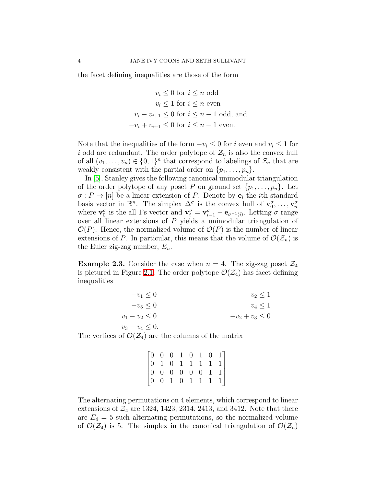the facet defining inequalities are those of the form

$$
-v_i \le 0 \text{ for } i \le n \text{ odd}
$$

$$
v_i \le 1 \text{ for } i \le n \text{ even}
$$

$$
v_i - v_{i+1} \le 0 \text{ for } i \le n - 1 \text{ odd, and}
$$

$$
-v_i + v_{i+1} \le 0 \text{ for } i \le n - 1 \text{ even.}
$$

Note that the inequalities of the form  $-v_i \leq 0$  for i even and  $v_i \leq 1$  for i odd are redundant. The order polytope of  $\mathcal{Z}_n$  is also the convex hull of all  $(v_1, \ldots, v_n) \in \{0,1\}^n$  that correspond to labelings of  $\mathcal{Z}_n$  that are weakly consistent with the partial order on  $\{p_1, \ldots, p_n\}.$ 

In [\[5\]](#page-17-4), Stanley gives the following canonical unimodular triangulation of the order polytope of any poset P on ground set  $\{p_1, \ldots, p_n\}$ . Let  $\sigma: P \to [n]$  be a linear extension of P. Denote by  $e_i$  the *i*th standard basis vector in  $\mathbb{R}^n$ . The simplex  $\Delta^{\sigma}$  is the convex hull of  $\mathbf{v}_0^{\sigma}, \ldots, \mathbf{v}_n^{\sigma}$ where  $\mathbf{v}_0^{\sigma}$  is the all 1's vector and  $\mathbf{v}_i^{\sigma} = \mathbf{v}_{i-1}^{\sigma} - \mathbf{e}_{\sigma^{-1}(i)}$ . Letting  $\sigma$  range over all linear extensions of  $P$  yields a unimodular triangulation of  $\mathcal{O}(P)$ . Hence, the normalized volume of  $\mathcal{O}(P)$  is the number of linear extensions of P. In particular, this means that the volume of  $\mathcal{O}(\mathcal{Z}_n)$  is the Euler zig-zag number,  $E_n$ .

**Example 2.3.** Consider the case when  $n = 4$ . The zig-zag poset  $\mathcal{Z}_4$ is pictured in Figure [2.1.](#page-6-0) The order polytope  $\mathcal{O}(\mathcal{Z}_4)$  has facet defining inequalities

| $-v_1 \leq 0$       | $v_2 \leq 1$     |
|---------------------|------------------|
| $-v_3\leq 0$        | $v_4\leq 1$      |
| $v_1 - v_2 \leq 0$  | $-v_2+v_3\leq 0$ |
| $v_3 - v_4 \leq 0.$ |                  |

The vertices of  $\mathcal{O}(\mathcal{Z}_4)$  are the columns of the matrix

$$
\begin{bmatrix} 0 & 0 & 0 & 1 & 0 & 1 & 0 & 1 \\ 0 & 1 & 0 & 1 & 1 & 1 & 1 & 1 \\ 0 & 0 & 0 & 0 & 0 & 0 & 1 & 1 \\ 0 & 0 & 1 & 0 & 1 & 1 & 1 & 1 \end{bmatrix}.
$$

The alternating permutations on 4 elements, which correspond to linear extensions of  $\mathcal{Z}_4$  are 1324, 1423, 2314, 2413, and 3412. Note that there are  $E_4 = 5$  such alternating permutations, so the normalized volume of  $\mathcal{O}(\mathcal{Z}_4)$  is 5. The simplex in the canonical triangulation of  $\mathcal{O}(\mathcal{Z}_n)$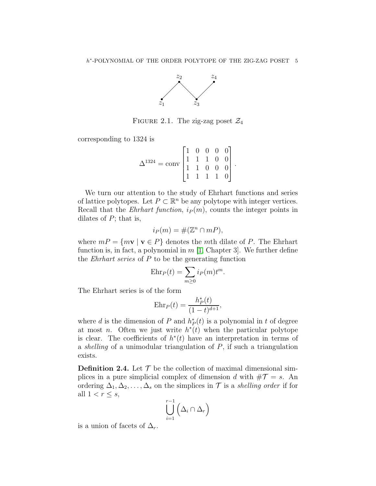

FIGURE 2.1. The zig-zag poset  $\mathcal{Z}_4$ 

<span id="page-6-0"></span>corresponding to 1324 is

$$
\Delta^{1324} = \text{conv} \begin{bmatrix} 1 & 0 & 0 & 0 & 0 \\ 1 & 1 & 1 & 0 & 0 \\ 1 & 1 & 0 & 0 & 0 \\ 1 & 1 & 1 & 1 & 0 \end{bmatrix}.
$$

We turn our attention to the study of Ehrhart functions and series of lattice polytopes. Let  $P \subset \mathbb{R}^n$  be any polytope with integer vertices. Recall that the *Ehrhart function*,  $i_P(m)$ , counts the integer points in dilates of  $P$ ; that is,

$$
i_P(m) = \#(\mathbb{Z}^n \cap mP),
$$

where  $mP = \{mv \mid v \in P\}$  denotes the mth dilate of P. The Ehrhart function is, in fact, a polynomial in  $m$  [\[1,](#page-17-5) Chapter 3]. We further define the *Ehrhart series* of  $P$  to be the generating function

$$
Ehr_P(t) = \sum_{m \ge 0} i_P(m)t^m.
$$

The Ehrhart series is of the form

$$
Ehr_P(t) = \frac{h_P^*(t)}{(1-t)^{d+1}},
$$

where d is the dimension of P and  $h_P^*(t)$  is a polynomial in t of degree at most *n*. Often we just write  $h^*(t)$  when the particular polytope is clear. The coefficients of  $h^*(t)$  have an interpretation in terms of a *shelling* of a unimodular triangulation of  $P$ , if such a triangulation exists.

**Definition 2.4.** Let  $\mathcal{T}$  be the collection of maximal dimensional simplices in a pure simplicial complex of dimension d with  $\#\mathcal{T} = s$ . An ordering  $\Delta_1, \Delta_2, \ldots, \Delta_s$  on the simplices in  $\mathcal T$  is a shelling order if for all  $1 < r \leq s$ ,

$$
\bigcup_{i=1}^{r-1} \left( \Delta_i \cap \Delta_r \right)
$$

is a union of facets of  $\Delta_r$ .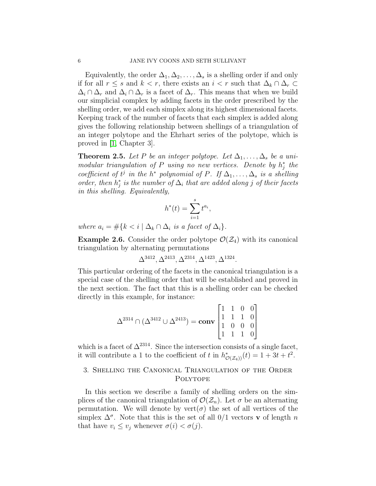Equivalently, the order  $\Delta_1, \Delta_2, \ldots, \Delta_s$  is a shelling order if and only if for all  $r \leq s$  and  $k < r$ , there exists an  $i < r$  such that  $\Delta_k \cap \Delta_r \subset$  $\Delta_i \cap \Delta_r$  and  $\Delta_i \cap \Delta_r$  is a facet of  $\Delta_r$ . This means that when we build our simplicial complex by adding facets in the order prescribed by the shelling order, we add each simplex along its highest dimensional facets. Keeping track of the number of facets that each simplex is added along gives the following relationship between shellings of a triangulation of an integer polytope and the Ehrhart series of the polytope, which is proved in [\[1,](#page-17-5) Chapter 3].

<span id="page-7-0"></span>**Theorem 2.5.** Let P be an integer polytope. Let  $\Delta_1, \ldots, \Delta_s$  be a unimodular triangulation of P using no new vertices. Denote by  $h_j^*$  the coefficient of  $t^j$  in the  $h^*$  polynomial of  $P$ . If  $\Delta_1, \ldots, \Delta_s$  is a shelling order, then  $h_j^*$  is the number of  $\Delta_i$  that are added along j of their facets in this shelling. Equivalently,

$$
h^*(t) = \sum_{i=1}^s t^{a_i},
$$

where  $a_i = #\{k \leq i \mid \Delta_k \cap \Delta_i \text{ is a facet of } \Delta_i\}.$ 

**Example 2.6.** Consider the order polytope  $\mathcal{O}(\mathcal{Z}_4)$  with its canonical triangulation by alternating permutations

$$
\Delta^{3412}, \Delta^{2413}, \Delta^{2314}, \Delta^{1423}, \Delta^{1324}.
$$

This particular ordering of the facets in the canonical triangulation is a special case of the shelling order that will be established and proved in the next section. The fact that this is a shelling order can be checked directly in this example, for instance:

$$
\Delta^{2314} \cap (\Delta^{3412} \cup \Delta^{2413}) = \mathbf{conv} \begin{bmatrix} 1 & 1 & 0 & 0 \\ 1 & 1 & 1 & 0 \\ 1 & 0 & 0 & 0 \\ 1 & 1 & 1 & 0 \end{bmatrix}
$$

which is a facet of  $\Delta^{2314}$ . Since the intersection consists of a single facet, it will contribute a 1 to the coefficient of t in  $h^*_{\mathcal{O}(\mathcal{Z}_4)}(t) = 1 + 3t + t^2$ .

### 3. Shelling the Canonical Triangulation of the Order Polytope

In this section we describe a family of shelling orders on the simplices of the canonical triangulation of  $\mathcal{O}(\mathcal{Z}_n)$ . Let  $\sigma$  be an alternating permutation. We will denote by  $vert(\sigma)$  the set of all vertices of the simplex  $\Delta^{\sigma}$ . Note that this is the set of all 0/1 vectors **v** of length n that have  $v_i \leq v_j$  whenever  $\sigma(i) < \sigma(j)$ .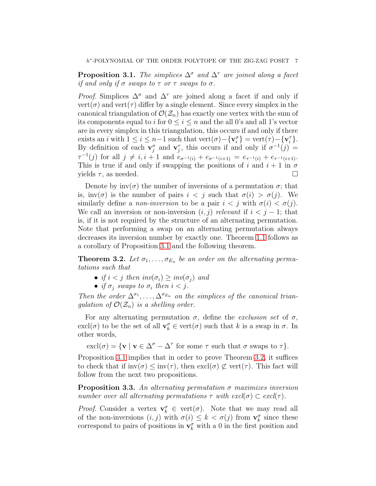<span id="page-8-0"></span>**Proposition 3.1.** The simplices  $\Delta^{\sigma}$  and  $\Delta^{\tau}$  are joined along a facet if and only if  $\sigma$  swaps to  $\tau$  or  $\tau$  swaps to  $\sigma$ .

*Proof.* Simplices  $\Delta^{\sigma}$  and  $\Delta^{\tau}$  are joined along a facet if and only if  $vert(\sigma)$  and vert $(\tau)$  differ by a single element. Since every simplex in the canonical triangulation of  $\mathcal{O}(\mathcal{Z}_n)$  has exactly one vertex with the sum of its components equal to i for  $0 \le i \le n$  and the all 0's and all 1's vector are in every simplex in this triangulation, this occurs if and only if there exists an *i* with  $1 \le i \le n-1$  such that  $\text{vert}(\sigma) - \{ \mathbf{v}_i^{\sigma} \} = \text{vert}(\tau) - \{ \mathbf{v}_i^{\tau} \}.$ By definition of each  $\mathbf{v}_j^{\sigma}$  and  $\mathbf{v}_j^{\tau}$ , this occurs if and only if  $\sigma^{-1}(j)$  =  $\tau^{-1}(j)$  for all  $j \neq i, i + 1$  and  $e_{\sigma^{-1}(i)} + e_{\sigma^{-1}(i+1)} = e_{\tau^{-1}(i)} + e_{\tau^{-1}(i+1)}$ . This is true if and only if swapping the positions of i and  $i + 1$  in  $\sigma$ yields  $\tau$ , as needed.

Denote by  $inv(\sigma)$  the number of inversions of a permutation  $\sigma$ ; that is, inv( $\sigma$ ) is the number of pairs  $i < j$  such that  $\sigma(i) > \sigma(j)$ . We similarly define a *non-inversion* to be a pair  $i < j$  with  $\sigma(i) < \sigma(j)$ . We call an inversion or non-inversion  $(i, j)$  relevant if  $i < j - 1$ ; that is, if it is not required by the structure of an alternating permutation. Note that performing a swap on an alternating permutation always decreases its inversion number by exactly one. Theorem [1.1](#page-3-0) follows as a corollary of Proposition [3.1](#page-8-0) and the following theorem.

<span id="page-8-1"></span>**Theorem 3.2.** Let  $\sigma_1, \ldots, \sigma_{E_n}$  be an order on the alternating permutations such that

- if  $i < j$  then  $inv(\sigma_i) \geq inv(\sigma_j)$  and
- if  $\sigma_j$  swaps to  $\sigma_i$  then  $i < j$ .

Then the order  $\Delta^{\sigma_1}, \ldots, \Delta^{\sigma_{E_n}}$  on the simplices of the canonical triangulation of  $\mathcal{O}(\mathcal{Z}_n)$  is a shelling order.

For any alternating permutation  $\sigma$ , define the *exclusion set* of  $\sigma$ ,  $\text{excl}(\sigma)$  to be the set of all  $\mathbf{v}_k^{\sigma} \in \text{vert}(\sigma)$  such that k is a swap in  $\sigma$ . In other words,

 $\operatorname{excl}(\sigma) = \{ \mathbf{v} \mid \mathbf{v} \in \Delta^{\sigma} - \Delta^{\tau} \text{ for some } \tau \text{ such that } \sigma \text{ swaps to } \tau \}.$ 

Proposition [3.1](#page-8-0) implies that in order to prove Theorem [3.2,](#page-8-1) it suffices to check that if  $inv(\sigma) \leq inv(\tau)$ , then  $excl(\sigma) \not\subset vert(\tau)$ . This fact will follow from the next two propositions.

<span id="page-8-2"></span>**Proposition 3.3.** An alternating permutation  $\sigma$  maximizes inversion number over all alternating permutations  $\tau$  with  $excl(\sigma) \subset excl(\tau)$ .

*Proof.* Consider a vertex  $\mathbf{v}_k^{\sigma} \in \text{vert}(\sigma)$ . Note that we may read all of the non-inversions  $(i, j)$  with  $\sigma(i) \leq k < \sigma(j)$  from  $\mathbf{v}_k^{\sigma}$  since these correspond to pairs of positions in  $\mathbf{v}_k^{\sigma}$  with a 0 in the first position and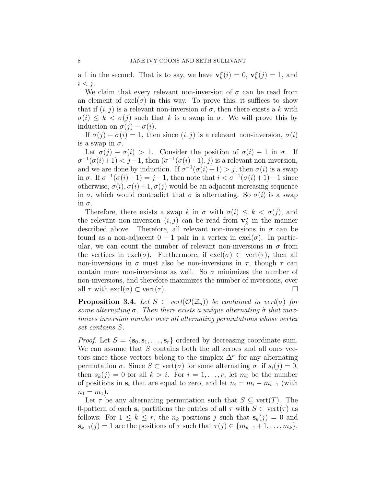a 1 in the second. That is to say, we have  $\mathbf{v}_k^{\sigma}(i) = 0$ ,  $\mathbf{v}_k^{\sigma}(j) = 1$ , and  $i < j$ .

We claim that every relevant non-inversion of  $\sigma$  can be read from an element of  $excl(\sigma)$  in this way. To prove this, it suffices to show that if  $(i, j)$  is a relevant non-inversion of  $\sigma$ , then there exists a k with  $\sigma(i) \leq k < \sigma(j)$  such that k is a swap in  $\sigma$ . We will prove this by induction on  $\sigma(j) - \sigma(i)$ .

If  $\sigma(j) - \sigma(i) = 1$ , then since  $(i, j)$  is a relevant non-inversion,  $\sigma(i)$ is a swap in  $\sigma$ .

Let  $\sigma(i) - \sigma(i) > 1$ . Consider the position of  $\sigma(i) + 1$  in  $\sigma$ . If  $\sigma^{-1}(\sigma(i)+1) < j-1$ , then  $(\sigma^{-1}(\sigma(i)+1), j)$  is a relevant non-inversion, and we are done by induction. If  $\sigma^{-1}(\sigma(i)+1) > j$ , then  $\sigma(i)$  is a swap in  $\sigma$ . If  $\sigma^{-1}(\sigma(i)+1) = j-1$ , then note that  $i < \sigma^{-1}(\sigma(i)+1) - 1$  since otherwise,  $\sigma(i)$ ,  $\sigma(i) + 1$ ,  $\sigma(j)$  would be an adjacent increasing sequence in  $\sigma$ , which would contradict that  $\sigma$  is alternating. So  $\sigma(i)$  is a swap in σ.

Therefore, there exists a swap k in  $\sigma$  with  $\sigma(i) \leq k < \sigma(j)$ , and the relevant non-inversion  $(i, j)$  can be read from  $\mathbf{v}_k^{\sigma}$  in the manner described above. Therefore, all relevant non-inversions in  $\sigma$  can be found as a non-adjacent  $0 - 1$  pair in a vertex in excl $(\sigma)$ . In particular, we can count the number of relevant non-inversions in  $\sigma$  from the vertices in  $\text{excl}(\sigma)$ . Furthermore, if  $\text{excl}(\sigma) \subset \text{vert}(\tau)$ , then all non-inversions in  $\sigma$  must also be non-inversions in  $\tau$ , though  $\tau$  can contain more non-inversions as well. So  $\sigma$  minimizes the number of non-inversions, and therefore maximizes the number of inversions, over all  $\tau$  with  $\text{excl}(\sigma) \subset \text{vert}(\tau)$ .

<span id="page-9-0"></span>**Proposition 3.4.** Let  $S \subset vert(O(\mathcal{Z}_n))$  be contained in vert( $\sigma$ ) for some alternating  $\sigma$ . Then there exists a unique alternating  $\hat{\sigma}$  that maximizes inversion number over all alternating permutations whose vertex set contains S.

*Proof.* Let  $S = \{s_0, s_1, \ldots, s_r\}$  ordered by decreasing coordinate sum. We can assume that S contains both the all zeroes and all ones vectors since those vectors belong to the simplex  $\Delta^{\sigma}$  for any alternating permutation  $\sigma$ . Since  $S \subset \text{vert}(\sigma)$  for some alternating  $\sigma$ , if  $s_i(j) = 0$ , then  $s_k(j) = 0$  for all  $k > i$ . For  $i = 1, \ldots, r$ , let  $m_i$  be the number of positions in  $s_i$  that are equal to zero, and let  $n_i = m_i - m_{i-1}$  (with  $n_1 = m_1$ ).

Let  $\tau$  be any alternating permutation such that  $S \subseteq \text{vert}(T)$ . The 0-pattern of each  $s_i$  partitions the entries of all  $\tau$  with  $S \subset \text{vert}(\tau)$  as follows: For  $1 \leq k \leq r$ , the  $n_k$  positions j such that  $s_k(j) = 0$  and  $\mathbf{s}_{k-1}(j) = 1$  are the positions of  $\tau$  such that  $\tau(j) \in \{m_{k-1}+1,\ldots,m_k\}.$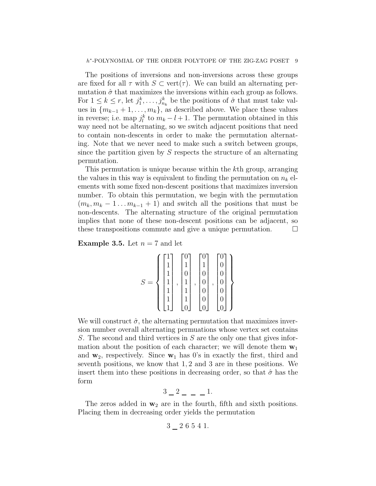The positions of inversions and non-inversions across these groups are fixed for all  $\tau$  with  $S \subset \text{vert}(\tau)$ . We can build an alternating permutation  $\hat{\sigma}$  that maximizes the inversions within each group as follows. For  $1 \leq k \leq r$ , let  $j_1^k, \ldots, j_{n_k}^k$  be the positions of  $\hat{\sigma}$  that must take values in  ${m_{k-1}+1,\ldots,m_k}$ , as described above. We place these values in reverse; i.e. map  $j_l^k$  to  $m_k - l + 1$ . The permutation obtained in this way need not be alternating, so we switch adjacent positions that need to contain non-descents in order to make the permutation alternating. Note that we never need to make such a switch between groups, since the partition given by  $S$  respects the structure of an alternating permutation.

This permutation is unique because within the kth group, arranging the values in this way is equivalent to finding the permutation on  $n_k$  elements with some fixed non-descent positions that maximizes inversion number. To obtain this permutation, we begin with the permutation  $(m_k, m_k - 1 \dots m_{k-1} + 1)$  and switch all the positions that must be non-descents. The alternating structure of the original permutation implies that none of these non-descent positions can be adjacent, so these transpositions commute and give a unique permutation.  $\Box$ 

<span id="page-10-0"></span>**Example 3.5.** Let  $n = 7$  and let

|                    | 1            | 1      | 1 |  |
|--------------------|--------------|--------|---|--|
|                    |              |        |   |  |
| $\mathcal{S}$<br>– | $\mathbf{1}$ | 1<br>, | , |  |
|                    | 1            | 1<br>┻ |   |  |
|                    | 1            | 1      |   |  |
|                    |              |        |   |  |

We will construct  $\hat{\sigma}$ , the alternating permutation that maximizes inversion number overall alternating permuations whose vertex set contains S. The second and third vertices in S are the only one that gives information about the position of each character; we will denote them  $w_1$ and  $w_2$ , respectively. Since  $w_1$  has 0's in exactly the first, third and seventh positions, we know that 1, 2 and 3 are in these positions. We insert them into these positions in decreasing order, so that  $\hat{\sigma}$  has the form

$$
3 \_ 2 \_ - \_ - 1.
$$

The zeros added in  $w_2$  are in the fourth, fifth and sixth positions. Placing them in decreasing order yields the permutation

$$
3\,\rule{1.5pt}{0.2pt}\,2\,\,6\,\,5\,\,4\,\,1.
$$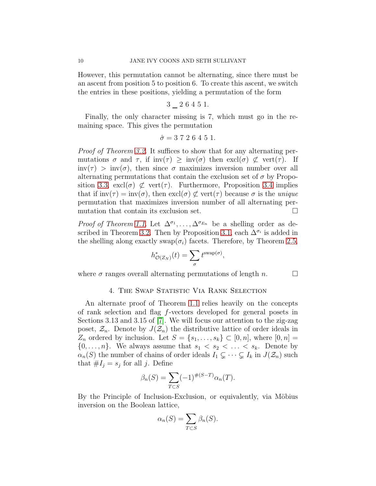However, this permutation cannot be alternating, since there must be an ascent from position 5 to position 6. To create this ascent, we switch the entries in these positions, yielding a permutation of the form

$$
3 \; \underline{\;\;} \; 2 \; 6 \; 4 \; 5 \; 1.
$$

Finally, the only character missing is 7, which must go in the remaining space. This gives the permutation

$$
\hat{\sigma} = 3\ 7\ 2\ 6\ 4\ 5\ 1.
$$

Proof of Theorem [3.2.](#page-8-1) It suffices to show that for any alternating permutations  $\sigma$  and  $\tau$ , if inv( $\tau$ ) > inv( $\sigma$ ) then excl( $\sigma$ )  $\not\subset$  vert( $\tau$ ). If  $inv(\tau) > inv(\sigma)$ , then since  $\sigma$  maximizes inversion number over all alternating permutations that contain the exclusion set of  $\sigma$  by Propo-sition [3.3,](#page-8-2)  $excl(\sigma) \not\subset \text{vert}(\tau)$ . Furthermore, Proposition [3.4](#page-9-0) implies that if  $inv(\tau) = inv(\sigma)$ , then  $excl(\sigma) \not\subset vert(\tau)$  because  $\sigma$  is the unique permutation that maximizes inversion number of all alternating permutation that contain its exclusion set.  $\Box$ 

*Proof of Theorem [1.1.](#page-3-0)* Let  $\Delta^{\sigma_1}, \ldots, \Delta^{\sigma_{E_n}}$  be a shelling order as de-scribed in Theorem [3.2.](#page-8-1) Then by Proposition [3.1,](#page-8-0) each  $\Delta^{\sigma_i}$  is added in the shelling along exactly swap( $\sigma_i$ ) facets. Therefore, by Theorem [2.5,](#page-7-0)

$$
h^*_{\mathcal{O}(Z_N)}(t) = \sum_{\sigma} t^{\text{swap}(\sigma)},
$$

where  $\sigma$  ranges overall alternating permutations of length n.  $\square$ 

### 4. THE SWAP STATISTIC VIA RANK SELECTION

An alternate proof of Theorem [1.1](#page-3-0) relies heavily on the concepts of rank selection and flag f-vectors developed for general posets in Sections 3.13 and 3.15 of [\[7\]](#page-17-2). We will focus our attention to the zig-zag poset,  $\mathcal{Z}_n$ . Denote by  $J(\mathcal{Z}_n)$  the distributive lattice of order ideals in  $Z_n$  ordered by inclusion. Let  $S = \{s_1, \ldots, s_k\} \subset [0, n]$ , where  $[0, n] =$  $\{0, \ldots, n\}$ . We always assume that  $s_1 < s_2 < \ldots < s_k$ . Denote by  $\alpha_n(S)$  the number of chains of order ideals  $I_1 \subsetneq \cdots \subsetneq I_k$  in  $J(\mathcal{Z}_n)$  such that  $\#I_j = s_j$  for all j. Define

$$
\beta_n(S) = \sum_{T \subset S} (-1)^{\#(S-T)} \alpha_n(T).
$$

By the Principle of Inclusion-Exclusion, or equivalently, via Möbius inversion on the Boolean lattice,

$$
\alpha_n(S) = \sum_{T \subset S} \beta_n(S).
$$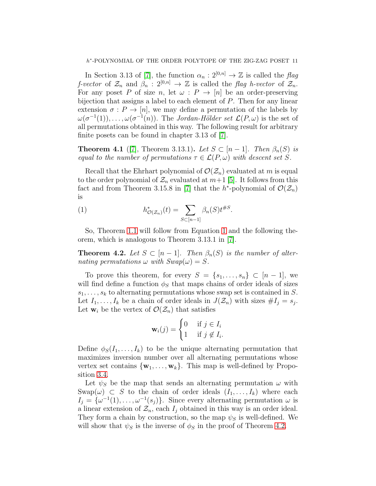In Section 3.13 of [\[7\]](#page-17-2), the function  $\alpha_n : 2^{[0,n]} \to \mathbb{Z}$  is called the flag f-vector of  $\mathcal{Z}_n$  and  $\beta_n : 2^{[0,n]} \to \mathbb{Z}$  is called the flag h-vector of  $\mathcal{Z}_n$ . For any poset P of size n, let  $\omega$ :  $P \rightarrow [n]$  be an order-preserving bijection that assigns a label to each element of  $P$ . Then for any linear extension  $\sigma: P \to [n]$ , we may define a permutation of the labels by  $\omega(\sigma^{-1}(1)), \ldots, \omega(\sigma^{-1}(n)).$  The Jordan-Hölder set  $\mathcal{L}(P, \omega)$  is the set of all permutations obtained in this way. The following result for arbitrary finite posets can be found in chapter 3.13 of [\[7\]](#page-17-2).

**Theorem 4.1** ([\[7\]](#page-17-2), Theorem 3.13.1). Let  $S \subset [n-1]$ . Then  $\beta_n(S)$  is equal to the number of permutations  $\tau \in \mathcal{L}(P,\omega)$  with descent set S.

Recall that the Ehrhart polynomial of  $\mathcal{O}(\mathcal{Z}_n)$  evaluated at m is equal to the order polynomial of  $\mathcal{Z}_n$  evaluated at  $m+1$  [\[5\]](#page-17-4). It follows from this fact and from Theorem 3.15.8 in [\[7\]](#page-17-2) that the  $h^*$ -polynomial of  $\mathcal{O}(\mathcal{Z}_n)$ is

<span id="page-12-0"></span>(1) 
$$
h_{\mathcal{O}(\mathcal{Z}_n)}^*(t) = \sum_{S \subset [n-1]} \beta_n(S) t^{\#S}.
$$

So, Theorem [1.1](#page-3-0) will follow from Equation [1](#page-12-0) and the following theorem, which is analogous to Theorem 3.13.1 in [\[7\]](#page-17-2).

<span id="page-12-1"></span>**Theorem 4.2.** Let  $S \subset [n-1]$ . Then  $\beta_n(S)$  is the number of alternating permutations  $\omega$  with  $Swap(\omega) = S$ .

To prove this theorem, for every  $S = \{s_1, \ldots, s_n\} \subset [n-1]$ , we will find define a function  $\phi_S$  that maps chains of order ideals of sizes  $s_1, \ldots, s_k$  to alternating permutations whose swap set is contained in S. Let  $I_1, \ldots, I_k$  be a chain of order ideals in  $J(\mathcal{Z}_n)$  with sizes  $\#I_j = s_j$ . Let  $\mathbf{w}_i$  be the vertex of  $\mathcal{O}(\mathcal{Z}_n)$  that satisfies

$$
\mathbf{w}_i(j) = \begin{cases} 0 & \text{if } j \in I_i \\ 1 & \text{if } j \notin I_i. \end{cases}
$$

Define  $\phi_S(I_1, \ldots, I_k)$  to be the unique alternating permutation that maximizes inversion number over all alternating permutations whose vertex set contains  $\{w_1, \ldots, w_k\}$ . This map is well-defined by Proposition [3.4.](#page-9-0)

Let  $\psi_s$  be the map that sends an alternating permutation  $\omega$  with Swap( $\omega$ )  $\subset$  S to the chain of order ideals  $(I_1, \ldots, I_k)$  where each  $I_j = {\omega^{-1}(1), \ldots, \omega^{-1}(s_j)}$ . Since every alternating permutation  $\omega$  is a linear extension of  $\mathcal{Z}_n$ , each  $I_j$  obtained in this way is an order ideal. They form a chain by construction, so the map  $\psi_S$  is well-defined. We will show that  $\psi_s$  is the inverse of  $\phi_s$  in the proof of Theorem [4.2.](#page-12-1)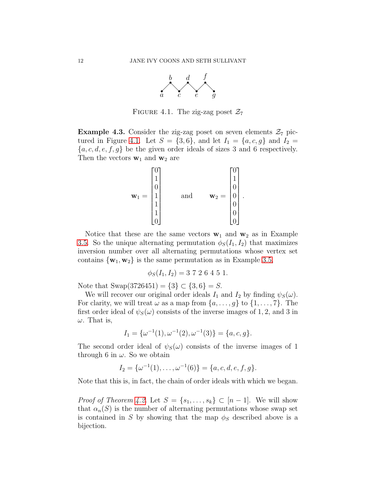

FIGURE 4.1. The zig-zag poset  $\mathcal{Z}_7$ 

<span id="page-13-0"></span>**Example 4.3.** Consider the zig-zag poset on seven elements  $\mathcal{Z}_7$  pic-tured in Figure [4.1.](#page-13-0) Let  $S = \{3, 6\}$ , and let  $I_1 = \{a, c, g\}$  and  $I_2 =$  ${a, c, d, e, f, g}$  be the given order ideals of sizes 3 and 6 respectively. Then the vectors  $\mathbf{w}_1$  and  $\mathbf{w}_2$  are

$$
\mathbf{w}_1 = \begin{bmatrix} 0 \\ 1 \\ 0 \\ 1 \\ 1 \\ 1 \\ 0 \end{bmatrix} \quad \text{and} \quad \mathbf{w}_2 = \begin{bmatrix} 0 \\ 1 \\ 0 \\ 0 \\ 0 \\ 0 \\ 0 \end{bmatrix}.
$$

Notice that these are the same vectors  $w_1$  and  $w_2$  as in Example [3.5.](#page-10-0) So the unique alternating permutation  $\phi_S(I_1, I_2)$  that maximizes inversion number over all alternating permutations whose vertex set contains  $\{w_1, w_2\}$  is the same permutation as in Example [3.5,](#page-10-0)

$$
\phi_S(I_1, I_2) = 3 \ 7 \ 2 \ 6 \ 4 \ 5 \ 1.
$$

Note that  $\text{Swap}(3726451) = \{3\} \subset \{3, 6\} = S$ .

We will recover our original order ideals  $I_1$  and  $I_2$  by finding  $\psi_S(\omega)$ . For clarity, we will treat  $\omega$  as a map from  $\{a, \ldots, g\}$  to  $\{1, \ldots, 7\}$ . The first order ideal of  $\psi_s(\omega)$  consists of the inverse images of 1, 2, and 3 in  $\omega$ . That is,

$$
I_1 = \{ \omega^{-1}(1), \omega^{-1}(2), \omega^{-1}(3) \} = \{ a, c, g \}.
$$

The second order ideal of  $\psi_{S}(\omega)$  consists of the inverse images of 1 through 6 in  $\omega$ . So we obtain

$$
I_2 = \{ \omega^{-1}(1), \ldots, \omega^{-1}(6) \} = \{ a, c, d, e, f, g \}.
$$

Note that this is, in fact, the chain of order ideals with which we began.

*Proof of Theorem [4.2.](#page-12-1)* Let  $S = \{s_1, \ldots, s_k\} \subset [n-1]$ . We will show that  $\alpha_n(S)$  is the number of alternating permutations whose swap set is contained in S by showing that the map  $\phi_S$  described above is a bijection.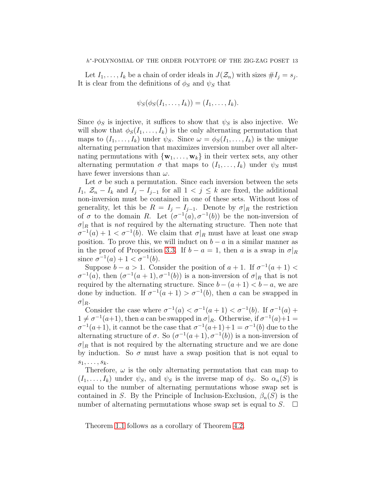Let  $I_1, \ldots, I_k$  be a chain of order ideals in  $J(\mathcal{Z}_n)$  with sizes  $\#I_j = s_j$ . It is clear from the definitions of  $\phi_S$  and  $\psi_S$  that

$$
\psi_S(\phi_S(I_1,\ldots,I_k))=(I_1,\ldots,I_k).
$$

Since  $\phi_S$  is injective, it suffices to show that  $\psi_S$  is also injective. We will show that  $\phi_S(I_1, \ldots, I_k)$  is the only alternating permutation that maps to  $(I_1, \ldots, I_k)$  under  $\psi_S$ . Since  $\omega = \phi_S(I_1, \ldots, I_k)$  is the unique alternating permuation that maximizes inversion number over all alternating permutations with  $\{w_1, \ldots, w_k\}$  in their vertex sets, any other alternating permutation  $\sigma$  that maps to  $(I_1, \ldots, I_k)$  under  $\psi_S$  must have fewer inversions than  $\omega$ .

Let  $\sigma$  be such a permutation. Since each inversion between the sets I<sub>1</sub>,  $\mathcal{Z}_n - I_k$  and  $I_j - I_{j-1}$  for all  $1 < j \leq k$  are fixed, the additional non-inversion must be contained in one of these sets. Without loss of generality, let this be  $R = I_j - I_{j-1}$ . Denote by  $\sigma|_R$  the restriction of  $\sigma$  to the domain R. Let  $(\sigma^{-1}(a), \sigma^{-1}(b))$  be the non-inversion of  $\sigma|_R$  that is *not* required by the alternating structure. Then note that  $\sigma^{-1}(a) + 1 < \sigma^{-1}(b)$ . We claim that  $\sigma|_R$  must have at least one swap position. To prove this, we will induct on  $b - a$  in a similar manner as in the proof of Proposition [3.3.](#page-8-2) If  $b - a = 1$ , then a is a swap in  $\sigma|_R$ since  $\sigma^{-1}(a) + 1 < \sigma^{-1}(b)$ .

Suppose  $b - a > 1$ . Consider the position of  $a + 1$ . If  $\sigma^{-1}(a + 1)$  $\sigma^{-1}(a)$ , then  $(\sigma^{-1}(a+1), \sigma^{-1}(b))$  is a non-inversion of  $\sigma|_R$  that is not required by the alternating structure. Since  $b - (a + 1) < b - a$ , we are done by induction. If  $\sigma^{-1}(a+1) > \sigma^{-1}(b)$ , then a can be swapped in  $\sigma|_{R}.$ 

Consider the case where  $\sigma^{-1}(a) < \sigma^{-1}(a+1) < \sigma^{-1}(b)$ . If  $\sigma^{-1}(a)$  +  $1 \neq \sigma^{-1}(a+1)$ , then a can be swapped in  $\sigma|_R$ . Otherwise, if  $\sigma^{-1}(a)+1$  $\sigma^{-1}(a+1)$ , it cannot be the case that  $\sigma^{-1}(a+1)+1 = \sigma^{-1}(b)$  due to the alternating structure of  $\sigma$ . So  $(\sigma^{-1}(a+1), \sigma^{-1}(b))$  is a non-inversion of  $\sigma|_R$  that is not required by the alternating structure and we are done by induction. So  $\sigma$  must have a swap position that is not equal to  $s_1, \ldots, s_k$ .

Therefore,  $\omega$  is the only alternating permutation that can map to  $(I_1, \ldots, I_k)$  under  $\psi_S$ , and  $\psi_S$  is the inverse map of  $\phi_S$ . So  $\alpha_n(S)$  is equal to the number of alternating permutations whose swap set is contained in S. By the Principle of Inclusion-Exclusion,  $\beta_n(S)$  is the number of alternating permutations whose swap set is equal to  $S$ .  $\Box$ 

Theorem [1.1](#page-3-0) follows as a corollary of Theorem [4.2.](#page-12-1)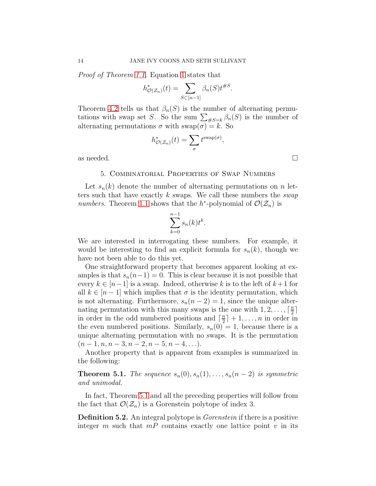Proof of Theorem [1.1.](#page-3-0) Equation [1](#page-12-0) states that

$$
h^*_{\mathcal{O}(\mathcal{Z}_n)}(t) = \sum_{S \subset [n-1]} \beta_n(S) t^{\#S}.
$$

Theorem [4.2](#page-12-1) tells us that  $\beta_n(S)$  is the number of alternating permutations with swap set S. So the sum  $\sum_{\#S=k} \beta_n(S)$  is the number of alternating permutations  $\sigma$  with  $swap(\sigma) = k$ . So

$$
h^*_{\mathcal{O}(\mathcal{Z}_n)}(t) = \sum_{\sigma} t^{\text{swap}(\sigma)},
$$

as needed.  $\Box$ 

### 5. Combinatorial Properties of Swap Numbers

Let  $s_n(k)$  denote the number of alternating permutations on n letters such that have exactly k swaps. We call these numbers the *swap* numbers. Theorem [1.1](#page-3-0) shows that the h<sup>\*</sup>-polynomial of  $\mathcal{O}(\mathcal{Z}_n)$  is

$$
\sum_{k=0}^{n-1} s_n(k) t^k.
$$

We are interested in interrogating these numbers. For example, it would be interesting to find an explicit formula for  $s_n(k)$ , though we have not been able to do this yet.

One straightforward property that becomes apparent looking at examples is that  $s_n(n-1) = 0$ . This is clear because it is not possible that every  $k \in [n-1]$  is a swap. Indeed, otherwise k is to the left of  $k+1$  for all  $k \in [n-1]$  which implies that  $\sigma$  is the identity permutation, which is not alternating. Furthermore,  $s_n(n-2) = 1$ , since the unique alternating permutation with this many swaps is the one with  $1, 2, \ldots, \lceil \frac{n}{2} \rceil$  $\frac{n}{2}$ ] in order in the odd numbered positions and  $\lceil \frac{n}{2} \rceil$  $\frac{n}{2}$  | + 1, ..., *n* in order in the even numbered positions. Similarly,  $s_n(0) = 1$ , because there is a unique alternating permutation with no swaps. It is the permutation  $(n-1, n, n-3, n-2, n-5, n-4, \ldots).$ 

Another property that is apparent from examples is summarized in the following:

<span id="page-15-0"></span>**Theorem 5.1.** The sequence  $s_n(0), s_n(1), \ldots, s_n(n-2)$  is symmetric and unimodal.

In fact, Theorem [5.1](#page-15-0) and all the preceding properties will follow from the fact that  $\mathcal{O}(\mathcal{Z}_n)$  is a Gorenstein polytope of index 3.

**Definition 5.2.** An integral polytope is *Gorenstein* if there is a positive integer m such that  $mP$  contains exactly one lattice point v in its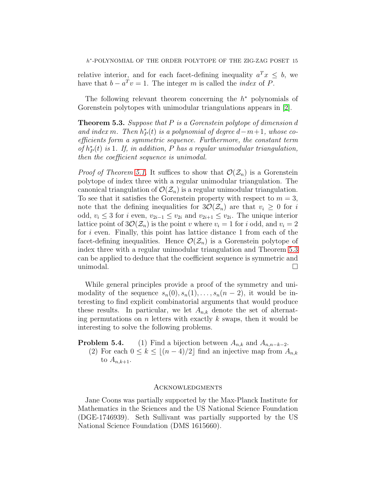relative interior, and for each facet-defining inequality  $a^T x \leq b$ , we have that  $b - a^T v = 1$ . The integer m is called the *index* of P.

The following relevant theorem concerning the  $h^*$  polynomials of Gorenstein polytopes with unimodular triangulations appears in [\[2\]](#page-17-6).

<span id="page-16-0"></span>Theorem 5.3. Suppose that P is a Gorenstein polytope of dimension d and index m. Then  $h^*_{P}(t)$  is a polynomial of degree  $d-m+1$ , whose coefficients form a symmetric sequence. Furthermore, the constant term of  $h_P^*(t)$  is 1. If, in addition, P has a regular unimodular triangulation, then the coefficient sequence is unimodal.

*Proof of Theorem [5.1.](#page-15-0)* It suffices to show that  $\mathcal{O}(\mathcal{Z}_n)$  is a Gorenstein polytope of index three with a regular unimodular triangulation. The canonical triangulation of  $\mathcal{O}(\mathcal{Z}_n)$  is a regular unimodular triangulation. To see that it satisfies the Gorenstein property with respect to  $m = 3$ , note that the defining inequalities for  $3\mathcal{O}(\mathcal{Z}_n)$  are that  $v_i \geq 0$  for i odd,  $v_i \leq 3$  for i even,  $v_{2i-1} \leq v_{2i}$  and  $v_{2i+1} \leq v_{2i}$ . The unique interior lattice point of  $3\mathcal{O}(\mathcal{Z}_n)$  is the point v where  $v_i = 1$  for i odd, and  $v_i = 2$ for i even. Finally, this point has lattice distance 1 from each of the facet-defining inequalities. Hence  $\mathcal{O}(\mathcal{Z}_n)$  is a Gorenstein polytope of index three with a regular unimodular triangulation and Theorem [5.3](#page-16-0) can be applied to deduce that the coefficient sequence is symmetric and unimodal.

While general principles provide a proof of the symmetry and unimodality of the sequence  $s_n(0), s_n(1), \ldots, s_n(n-2)$ , it would be interesting to find explicit combinatorial arguments that would produce these results. In particular, we let  $A_{n,k}$  denote the set of alternating permutations on  $n$  letters with exactly  $k$  swaps, then it would be interesting to solve the following problems.

**Problem 5.4.** (1) Find a bijection between  $A_{n,k}$  and  $A_{n,n-k-2}$ . (2) For each  $0 \leq k \leq \lfloor (n-4)/2 \rfloor$  find an injective map from  $A_{n,k}$ to  $A_{n,k+1}$ .

### **ACKNOWLEDGMENTS**

Jane Coons was partially supported by the Max-Planck Institute for Mathematics in the Sciences and the US National Science Foundation (DGE-1746939). Seth Sullivant was partially supported by the US National Science Foundation (DMS 1615660).